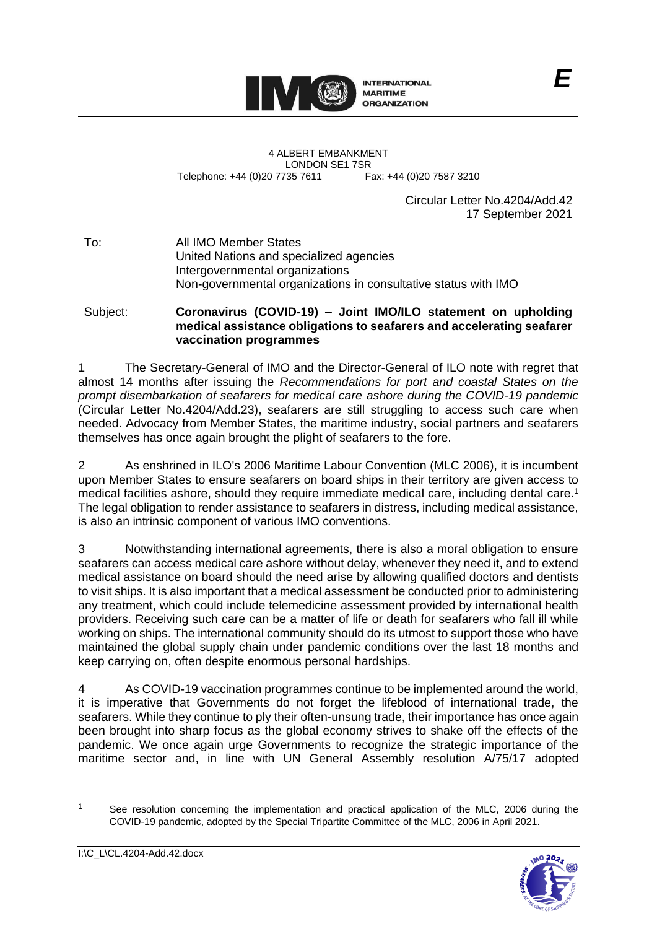

4 ALBERT EMBANKMENT Telephone: +44 (0)20 7735 7611

LONDON SE1 7SR<br>735 7611 Fax: +44 (0)20 7587 3210

Circular Letter No.4204/Add.42 17 September 2021

*E*

To: All IMO Member States United Nations and specialized agencies Intergovernmental organizations Non-governmental organizations in consultative status with IMO

Subject: **Coronavirus (COVID-19) – Joint IMO/ILO statement on upholding medical assistance obligations to seafarers and accelerating seafarer vaccination programmes**

1 The Secretary-General of IMO and the Director-General of ILO note with regret that almost 14 months after issuing the *Recommendations for port and coastal States on the prompt disembarkation of seafarers for medical care ashore during the COVID-19 pandemic* (Circular Letter No.4204/Add.23), seafarers are still struggling to access such care when needed. Advocacy from Member States, the maritime industry, social partners and seafarers themselves has once again brought the plight of seafarers to the fore.

2 As enshrined in ILO's 2006 Maritime Labour Convention (MLC 2006), it is incumbent upon Member States to ensure seafarers on board ships in their territory are given access to medical facilities ashore, should they require immediate medical care, including dental care. 1 The legal obligation to render assistance to seafarers in distress, including medical assistance, is also an intrinsic component of various IMO conventions.

3 Notwithstanding international agreements, there is also a moral obligation to ensure seafarers can access medical care ashore without delay, whenever they need it, and to extend medical assistance on board should the need arise by allowing qualified doctors and dentists to visit ships. It is also important that a medical assessment be conducted prior to administering any treatment, which could include telemedicine assessment provided by international health providers. Receiving such care can be a matter of life or death for seafarers who fall ill while working on ships. The international community should do its utmost to support those who have maintained the global supply chain under pandemic conditions over the last 18 months and keep carrying on, often despite enormous personal hardships.

4 As COVID-19 vaccination programmes continue to be implemented around the world, it is imperative that Governments do not forget the lifeblood of international trade, the seafarers. While they continue to ply their often-unsung trade, their importance has once again been brought into sharp focus as the global economy strives to shake off the effects of the pandemic. We once again urge Governments to recognize the strategic importance of the maritime sector and, in line with UN General Assembly resolution A/75/17 adopted

<sup>&</sup>lt;sup>1</sup> See resolution concerning the implementation and practical application of the MLC, 2006 during the COVID-19 pandemic, adopted by the Special Tripartite Committee of the MLC, 2006 in April 2021.